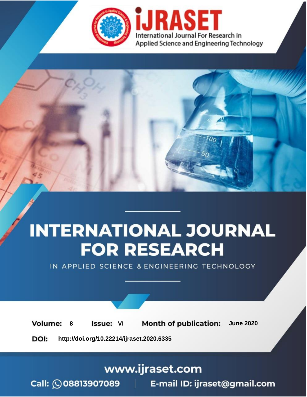

# **INTERNATIONAL JOURNAL FOR RESEARCH**

IN APPLIED SCIENCE & ENGINEERING TECHNOLOGY

8 **Issue: VI Month of publication:** June 2020 **Volume:** 

**http://doi.org/10.22214/ijraset.2020.6335**DOI:

## www.ijraset.com

Call: 008813907089 | E-mail ID: ijraset@gmail.com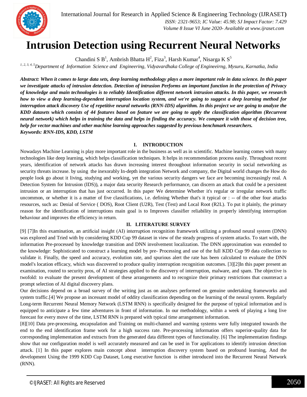

## **Intrusion Detection using Recurrent Neural Networks**

Chandini S $B^1$ , Ambrish Bhatta H<sup>2</sup>, Fiza<sup>3</sup>, Harsh Kumar<sup>4</sup>, Nisarga K $S^5$ 

*1, 2, 3, 4, 5Department of Information Science and Engineering, Vidyavardhaka College of Engineeirng, Mysuru, Karnatka, India*

*Abstract: When it comes to large data sets, deep learning methodology plays a more important role in data science. In this paper we investigate attacks of intrusion detection. Detection of intrusion Performs an important function in the protection of Privacy of knowledge and main technologies is to reliably Identification different network intrusion attacks. In this paper, we research how to view a deep learning-dependent interruption location system, and we're going to suggest a deep learning method for interruption attack discovery Use of repetitive neural networks (RNN-IDS) algorithm. In this project we are going to analyze the KDD datasets which consists of 44 features based on feature we are going to apply the classification algorithm (Recurrent neural network) which helps in training the data and helps in finding the accuracy. We compare it with those of decision tree, help for vector machines and other machine learning approaches suggested by previous benchmark researchers. Keywords: RNN-IDS, KDD, LSTM*

#### **I. INTRODUCTION**

Nowadays Machine Learning is play more important role in the business as well as in scientific. Machine learning comes with many technologies like deep learning, which helps classification techniques. It helps in recommendation process easily. Throughout recent years, identification of network attacks has drawn increasing interest throughout information security in social networking as security threats increase. by using the inexorably In-depth integration Network and company, the Digital world changes the How do people look go about it living, studying and working, yet the various security dangers we face are becoming increasingly real. A Detection System for Intrusion (IDS)), a major data security Research performance, can discern an attack that could be a persistent intrusion or an interruption that has just occurred. In this paper We determine Whether it's regular or irregular network traffic uncommon, or whether it is a matter of five classifications, i.e. defining Whether that's it typical or : -- of the other four attacks resources, such as: Denial of Service ( DOS), Root Client (U2R), Test (Test) and Local Root (R2L). To put it plainly, the primary reason for the identification of interruptions main goal is to Improves classifier reliability in properly identifying interruption behaviour and improves the efficiency in return.

#### **II. LITERATURE SURVEY**

[9] [7]In this examination, an artificial insight (AI) interruption recognition framework utilizing a profound neural system (DNN) was explored and Tried with by considering KDD Cup 99 dataset in view of the steady progress of system attacks. To start with, the information Pre-processed by knowledge transition and DNN involvement localization. The DNN approximation was extended to the knowledge: Sophisticated to construct a learning model by pre- Processing and use of the full KDD Cup 99 data collection to validate it. Finally, the speed and accuracy, evolution rate, and spurious alert the rate has been calculated to evaluate the DNN model's location efficacy, which was discovered to produce quality interruption recognition outcomes. [3][2]In this paper present an examination, routed to security pros, of AI strategies applied to the discovery of interruption, malware, and spam. The objective is twofold: to evaluate the present development of these arrangements and to recognize their primary restrictions that counteract a prompt selection of AI digital discovery plans.

Our decisions depend on a broad survey of the writing just as on analyses performed on genuine undertaking frameworks and system traffic.[4] We propose an incessant model of oddity classification depending on the learning of the neural system. Regularly Long-term Recurrent Neural Memory Network (LSTM RNN) is specifically designed for the purpose of typical information and is equipped to anticipate a few time adventures in front of information. In our methodology, within a week of playing a long live forecast for every move of the time, LSTM RNN is prepared with typical time arrangement information.

[8][10] Data pre-processing, encapsulation and Training on multi-channel and warning systems were fully integrated towards the end to the end identification frame work for a high success rate. Pre-processing information offers superior-quality data for corresponding implementation and extracts from the generated data different types of functionality. [6] The implementation findings show that our configuration model is well accurately measured and can be used in Tor applications to identify intrusion detection attack. [1] In this paper explores main concept about interruption discovery system based on profound learning, And the development Using the 1999 KDD Cup Dataset, Long executive function is either introduced into the Recurrent Neural Network (RNN).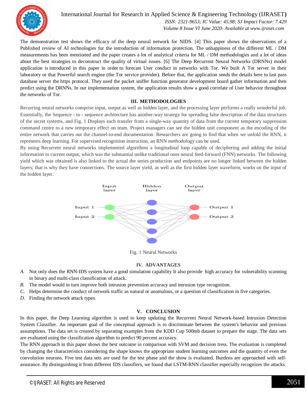

International Journal for Research in Applied Science & Engineering Technology (IJRASET**)**  *ISSN: 2321-9653; IC Value: 45.98; SJ Impact Factor: 7.429 Volume 8 Issue VI June 2020- Available at www.ijraset.com*

The demonstration test shows the efficacy of the deep neural network for NIDS. [4] This paper shows the observations of a Published review of AI technologies for the introduction of information protection. The unhappiness of the different ML / DM measurements has been mentioned and the paper creates a lot of analytical criteria for ML / DM methodologies and a lot of ideas about the best strategies to deconstruct the quality of virtual issues. [6] The Deep Recurrent Neural Networks (DRNNs) model application is introduced in this paper in order to forecast User conduct in networks with Tor. We built A Tor server in their laboratory or that Powerful search engine (the Tor service provider). Before that, the application sends the details here to last pass database server the https protocol. They used the packet sniffer function generator development board gather information and then predict using the DRNNs. In our implementation system, the application results show a good correlate of User behavior throughout the networks of Tor.

#### **III. METHODOLOGIES**

Recurring neural networks comprise input, output as well as hidden layer, and the processing layer performs a really wonderful job. Essentially, the Sequence - to - sequence architecture has another-way strategy for spreading false description of the data structures of the secret systems, and Fig. 1 Displays each transfer from a single-way quantity of data from the current temporary suppression command centre to a new temporary effect on team. Project managers can see the hidden unit component as the encoding of the entire network that carries out the channel-to-end documentation. Researchers are going to find that when we unfold the RNN, it represents deep learning. For supervised recognition instruction, an RNN methodology can be used.

By using Recurrent neural networks implemented algorithms a longitudinal loop capable of deciphering and adding the initial information to current output, which was the substantial unlike traditional ones neural feed-forward (FNN) networks. The following yield which was obtained is also linked to the actual the series production and endpoints are no longer linked between the hidden layers; that is why they have connections. The source layer yield, as well as the first hidden layer waveform, works on the input of the hidden layer.



Fig. 1 Neural Networks

#### **IV. ADVANTAGES**

- *A.* Not only does the RNN-IDS system have a good simulation capability It also provide high accuracy for vulnerability scanning in binary and multi-class classification of attack.
- *B.* The model would in turn improve both intrusion prevention accuracy and intrusion type recognition.
- *C.* Helps determine the conduct of network traffic as natural or anomalous, or a question of classification in five categories.
- *D.* Finding the network attack types.

#### **V. CONCLUSION**

In this paper, the Deep Learning algorithm is used to keep updating the Recurrent Neural Network-based Intrusion Detection System Classifier. An important goal of the conceptual approach is to discriminate between the system's behavior and previous assumptions. The data set is created by separating examples from the KDD Cup 500mb dataset to prepare the stage. The data sets are evaluated using the classification algorithm to predict 90 percent accuracy.

The RNN approach in this paper shows the best outcome in comparison with SVM and decision tress. The evaluation is completed by changing the characteristics considering the shape knows the appropriate student learning outcomes and the quantity of even the convolution neurons. Five test data sets are used for the test phase and the show is evaluated. Burdens are approached with selfassurance. By distinguishing it from different IDS classifiers, we found that LSTM-RNN classifier especially recognizes the attacks.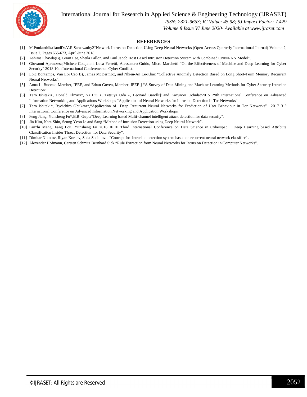

#### International Journal for Research in Applied Science & Engineering Technology (IJRASET**)**

 *ISSN: 2321-9653; IC Value: 45.98; SJ Impact Factor: 7.429*

 *Volume 8 Issue VI June 2020- Available at www.ijraset.com*

#### **REFERENCES**

- [1] M.Ponkarthika1andDr.V.R.Saraswathy2"Network Intrusion Detection Using Deep Neural Networks (Open Access Quarterly International Journal) Volume 2, Issue 2, Pages 665-673, April-June 2018.
- [2] Ashima Chawla(B), Brian Lee, Sheila Fallon, and Paul Jacob Host Based Intrusion Detection System with Combined CNN/RNN Model".
- [3] Giovanni Apruzzese,Michele Colajanni, Luca Ferretti, Alessandro Guido, Micro Marchetti "On the Effectiveness of Machine and Deep Learning for Cyber Security" 2018 10th International Conference on Cyber Conflict.
- [4] Loic Bontemps, Van Loi Cao(B), James McDermott, and Nhien-An Le-Khac "Collective Anomaly Detection Based on Long Short-Term Memory Recurrent Neural Networks".
- [5] Anna L. Buczak, Member, IEEE, and Erhan Guven, Member, IEEE ] "A Survey of Data Mining and Machine Learning Methods for Cyber Security Intrusion Detection".
- [6] Taro Ishitaki∗, Donald Elmazi†, Yi Liu ∗, Tetsuya Oda ∗, Leonard Barolli‡ and Kazunori Uchida‡2015 29th International Conference on Advanced Information Networking and Applications Workshops "Application of Neural Networks for Intrusion Detection in Tor Networks".
- [7] Taro Ishitaki\*, Ryoichiro Obukata\*,"Application of Deep Recurrent Neural Networks for Prediction of User Behaviour in Tor Networks" 2017 31st International Conference on Advanced Information Networking and Application Workshops.
- [8] Feng Jiang, Yunsheng Fu\*,B.B. Gupta"Deep Learning based Multi-channel intelligent attack detection for data security".
- [9] Jin Kim, Nara Shin, Seung Yeon Jo and Sang "Method of Intrusion Detection using Deep Neural Network".
- [10] Fanzhi Meng, Fang Lou, Yunsheng Fu 2018 IEEE Third International Conference on Data Science in Cyberspac "Deep Learning based Attribute Classification Insider Threat Detection for Data Security".
- [11] Dimitar Nikolov, IIiyan Kordev, Stela Stefanova. "Concept for intrusion detection system based on recurrent neural network classifier" .
- [12] Alexender Hofmann, Carsten Schmitz Bernhard Sick "Rule Extraction from Neural Networks for Intrusion Detection in Computer Networks".